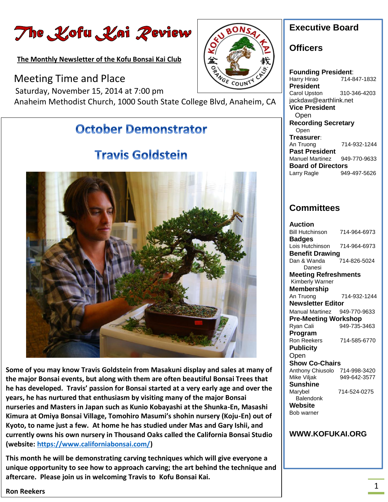The Kofu Kai Review

**The Monthly Newsletter of the Kofu Bonsai Kai Club** 

**ANGE** Meeting Time and Place COUNT Saturday, November 15, 2014 at 7:00 pm Anaheim Methodist Church, 1000 South State College Blvd, Anaheim, CA

### **October Demonstrator**

### **Travis Goldstein**



 **Some of you may know Travis Goldstein from Masakuni display and sales at many of he has developed. Travis' passion for Bonsai started at a very early age and over the nurseries and Masters in Japan such as Kunio Kobayashi at the Shunka-En, Masashi Kyoto, to name just a few. At home he has studied under Mas and Gary Ishii, and**  i<br>Lind **the major Bonsai events, but along with them are often beautiful Bonsai Trees that years, he has nurtured that enthusiasm by visiting many of the major Bonsai Kimura at Omiya Bonsai Village, Tomohiro Masumi's shohin nursery (Koju-En) out of currently owns his own nursery in Thousand Oaks called the California Bonsai Studio (website: [https://www.californiabonsai.com/\)](https://www.californiabonsai.com/)** 

 **unique opportunity to see how to approach carving; the art behind the technique and This month he will be demonstrating carving techniques which will give everyone a aftercare. Please join us in welcoming Travis to Kofu Bonsai Kai.**



#### **Officers**

a0Ns

**Founding President**: Harry Hirao 714-847-1832 **President** Carol Upston 310-346-4203 jackdaw@earthlink.net **Vice President** Open **Recording Secretary** Open **Treasurer**: An Truong 714-932-1244 **Past President**  Manuel Martinez 949-770-9633 **Board of Directors** Larry Ragle 949-497-5626

#### **Committees**

| Auction                     |              |
|-----------------------------|--------------|
| <b>Bill Hutchinson</b>      | 714-964-6973 |
| <b>Badges</b>               |              |
| Lois Hutchinson             | 714-964-6973 |
| <b>Benefit Drawing</b>      |              |
| Dan & Wanda                 | 714-826-5024 |
| Danesi                      |              |
| <b>Meeting Refreshments</b> |              |
| Kimberly Warner             |              |
| Membership                  |              |
| An Truong                   | 714-932-1244 |
| <b>Newsletter Editor</b>    |              |
| <b>Manual Martinez</b>      | 949-770-9633 |
| <b>Pre-Meeting Workshop</b> |              |
| Ryan Cali                   | 949-735-3463 |
| Program                     |              |
| Ron Reekers                 | 714-585-6770 |
| Publicity                   |              |
| Open                        |              |
| <b>Show Co-Chairs</b>       |              |
| Anthony Chiusolo            | 714-998-3420 |
| Mike Viljak                 | 949-642-3577 |
| Sunshine                    |              |
| Marybel                     | 714-524-0275 |
| Balendonk                   |              |
| Website                     |              |
| Bob warner                  |              |

#### **WWW.KOFUKAI.ORG**

**Ron Reekers**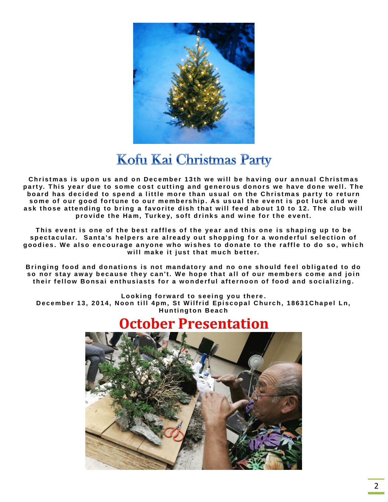

## Kofu Kai Christmas Party

Christmas is upon us and on December 13th we will be having our annual Christmas party. This year due to some cost cutting and generous donors we have done well. The board has decided to spend a little more than usual on the Christmas party to return some of our good fortune to our membership. As usual the event is pot luck and we ask those attending to bring a favorite dish that will feed about 10 to 12. The club will provide the Ham, Turkey, soft drinks and wine for the event.

This event is one of the best raffles of the year and this one is shaping up to be spectacular. Santa's helpers are already out shopping for a wonderful selection of goodies. We also encourage anyone who wishes to donate to the raffle to do so, which will make it just that much better.

Bringing food and donations is not mandatory and no one should feel obligated to do so nor stay away because they can't. We hope that all of our members come and join their fellow Bonsai enthusiasts for a wonderful afternoon of food and socializing.

Looking forward to seeing you there.

December 13, 2014, Noon till 4pm, St Wilfrid Episcopal Church, 18631Chapel Ln, **Huntington Beach** 

## **October Presentation**

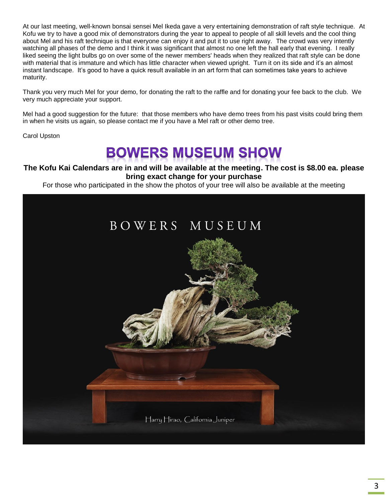At our last meeting, well-known bonsai sensei Mel Ikeda gave a very entertaining demonstration of raft style technique. At Kofu we try to have a good mix of demonstrators during the year to appeal to people of all skill levels and the cool thing about Mel and his raft technique is that everyone can enjoy it and put it to use right away. The crowd was very intently watching all phases of the demo and I think it was significant that almost no one left the hall early that evening. I really liked seeing the light bulbs go on over some of the newer members' heads when they realized that raft style can be done with material that is immature and which has little character when viewed upright. Turn it on its side and it's an almost instant landscape. It's good to have a quick result available in an art form that can sometimes take years to achieve maturity.

Thank you very much Mel for your demo, for donating the raft to the raffle and for donating your fee back to the club. We very much appreciate your support.

Mel had a good suggestion for the future: that those members who have demo trees from his past visits could bring them in when he visits us again, so please contact me if you have a Mel raft or other demo tree.

Carol Upston

# **BOWERS MUSEUM SHOW**

**The Kofu Kai Calendars are in and will be available at the meeting. The cost is \$8.00 ea. please bring exact change for your purchase**

For those who participated in the show the photos of your tree will also be available at the meeting

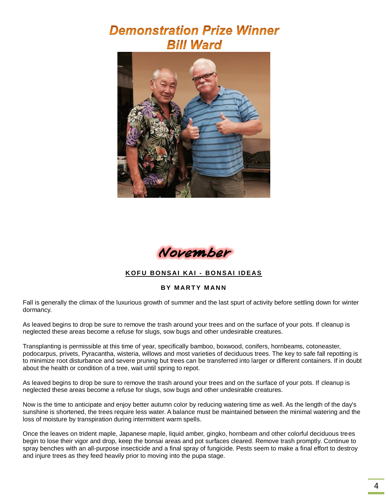## **Demonstration Prize Winner Bill Ward**





#### **K O F U BO N S AI K AI - BO N S AI I D EAS**

#### **BY MARTY MANN**

Fall is generally the climax of the luxurious growth of summer and the last spurt of activity before settling down for winter dormancy.

As leaved begins to drop be sure to remove the trash around your trees and on the surface of your pots. If cleanup is neglected these areas become a refuse for slugs, sow bugs and other undesirable creatures.

Transplanting is permissible at this time of year, specifically bamboo, boxwood, conifers, hornbeams, cotoneaster, podocarpus, privets, Pyracantha, wisteria, willows and most varieties of deciduous trees. The key to safe fall repotting is to minimize root disturbance and severe pruning but trees can be transferred into larger or different containers. If in doubt about the health or condition of a tree, wait until spring to repot.

As leaved begins to drop be sure to remove the trash around your trees and on the surface of your pots. If cleanup is neglected these areas become a refuse for slugs, sow bugs and other undesirable creatures.

Now is the time to anticipate and enjoy better autumn color by reducing watering time as well. As the length of the day's sunshine is shortened, the trees require less water. A balance must be maintained between the minimal watering and the loss of moisture by transpiration during intermittent warm spells.

Once the leaves on trident maple, Japanese maple, liquid amber, gingko, hornbeam and other colorful deciduous trees begin to lose their vigor and drop, keep the bonsai areas and pot surfaces cleared. Remove trash promptly. Continue to spray benches with an all-purpose insecticide and a final spray of fungicide. Pests seem to make a final effort to destroy and injure trees as they feed heavily prior to moving into the pupa stage.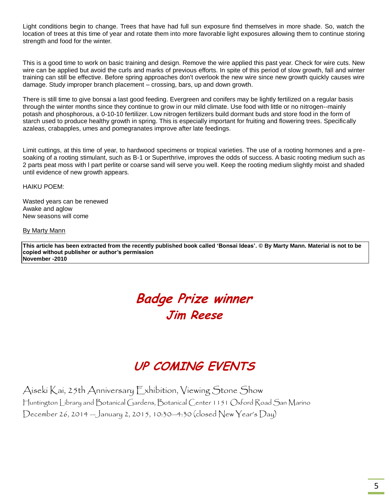Light conditions begin to change. Trees that have had full sun exposure find themselves in more shade. So, watch the location of trees at this time of year and rotate them into more favorable light exposures allowing them to continue storing strength and food for the winter.

This is a good time to work on basic training and design. Remove the wire applied this past year. Check for wire cuts. New wire can be applied but avoid the curls and marks of previous efforts. In spite of this period of slow growth, fall and winter training can still be effective. Before spring approaches don't overlook the new wire since new growth quickly causes wire damage. Study improper branch placement – crossing, bars, up and down growth.

There is still time to give bonsai a last good feeding. Evergreen and conifers may be lightly fertilized on a regular basis through the winter months since they continue to grow in our mild climate. Use food with little or no nitrogen--mainly potash and phosphorous, a 0-10-10 fertilizer. Low nitrogen fertilizers build dormant buds and store food in the form of starch used to produce healthy growth in spring. This is especially important for fruiting and flowering trees. Specifically azaleas, crabapples, umes and pomegranates improve after late feedings.

Limit cuttings, at this time of year, to hardwood specimens or tropical varieties. The use of a rooting hormones and a presoaking of a rooting stimulant, such as B-1 or Superthrive, improves the odds of success. A basic rooting medium such as 2 parts peat moss with l part perlite or coarse sand will serve you well. Keep the rooting medium slightly moist and shaded until evidence of new growth appears.

HAIKU POEM:

Wasted years can be renewed Awake and aglow New seasons will come

#### By Marty Mann

**This article has been extracted from the recently published book called 'Bonsai Ideas'. © By Marty Mann. Material is not to be copied without publisher or author's permission November -2010**

## **Badge Prize winner Jim Reese**

### **UP COMING EVENTS**

Aiseki Kai, 25th Anniversary Exhibition, Viewing Stone Show Huntington Library and Botanical Gardens, Botanical Center 1151 Oxford Road San Marino December 26, 2014 —January 2, 2015, 10:30—4:30 (closed New Year's Day)